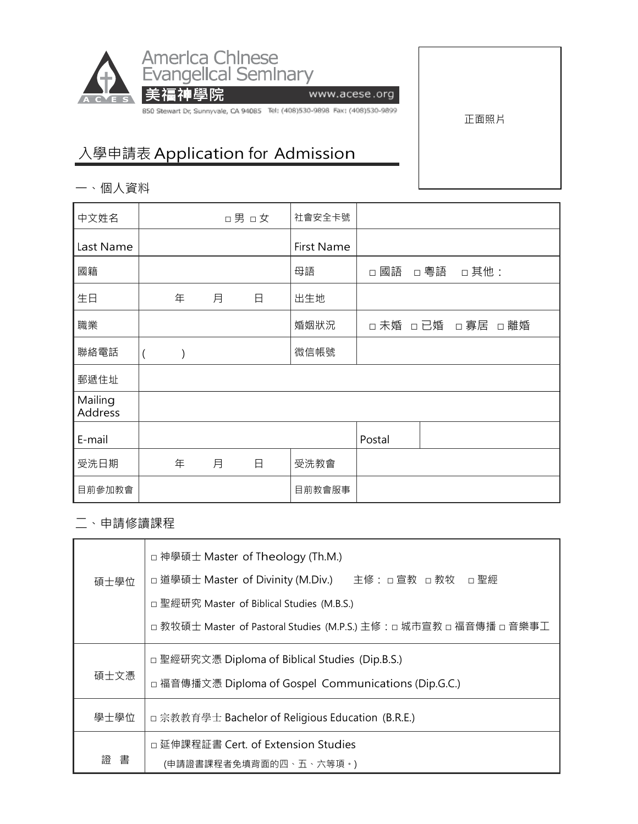

www.acese.org

850 Stewart Dr, Sunnyvale, CA 94085 Tel: (408)530-9898 Fax: (408)530-9899

正面照片

## 入學申請表 Application for Admission

美福神學院

一、個人資料

| 中文姓名               |                  |               |   | □男 □女 | 社會安全卡號     |                 |     |      |  |
|--------------------|------------------|---------------|---|-------|------------|-----------------|-----|------|--|
| Last Name          |                  |               |   |       | First Name |                 |     |      |  |
| 國籍                 |                  |               |   |       | 母語         | □ 國語            | □粵語 | □其他: |  |
| 生日                 |                  | 年             | 月 | 日     | 出生地        |                 |     |      |  |
| 職業                 |                  |               |   |       | 婚姻狀況       | □未婚 □已婚 □寡居 □離婚 |     |      |  |
| 聯絡電話               | $\overline{(\ }$ | $\mathcal{E}$ |   |       | 微信帳號       |                 |     |      |  |
| 郵遞住址               |                  |               |   |       |            |                 |     |      |  |
| Mailing<br>Address |                  |               |   |       |            |                 |     |      |  |
| E-mail             |                  |               |   |       |            | Postal          |     |      |  |
| 受洗日期               |                  | 年             | 月 | 日     | 受洗教會       |                 |     |      |  |
| 目前參加教會             |                  |               |   |       | 目前教會服事     |                 |     |      |  |

二、申請修讀課程

|      | □ 神學碩士 Master of Theology (Th.M.)                                  |  |  |  |  |  |
|------|--------------------------------------------------------------------|--|--|--|--|--|
| 碩士學位 | □ 道學碩士 Master of Divinity (M.Div.) 主修: □ 宣教 □ 教牧 □ 聖經              |  |  |  |  |  |
|      | □ 聖經研究 Master of Biblical Studies (M.B.S.)                         |  |  |  |  |  |
|      | □ 教牧碩士 Master of Pastoral Studies (M.P.S.) 主修:□ 城市宣教 □ 福音傳播 □ 音樂事工 |  |  |  |  |  |
|      | □ 聖經研究文憑 Diploma of Biblical Studies (Dip.B.S.)                    |  |  |  |  |  |
| 碩士文憑 | □ 福音傳播文憑 Diploma of Gospel Communications (Dip.G.C.)               |  |  |  |  |  |
| 學士學位 | □ 宗教教育學士 Bachelor of Religious Education (B.R.E.)                  |  |  |  |  |  |
|      | □ 延伸課程証書 Cert. of Extension Studies                                |  |  |  |  |  |
| 諮 書  | (申請證書課程者免填背面的四、五、六等項。)                                             |  |  |  |  |  |